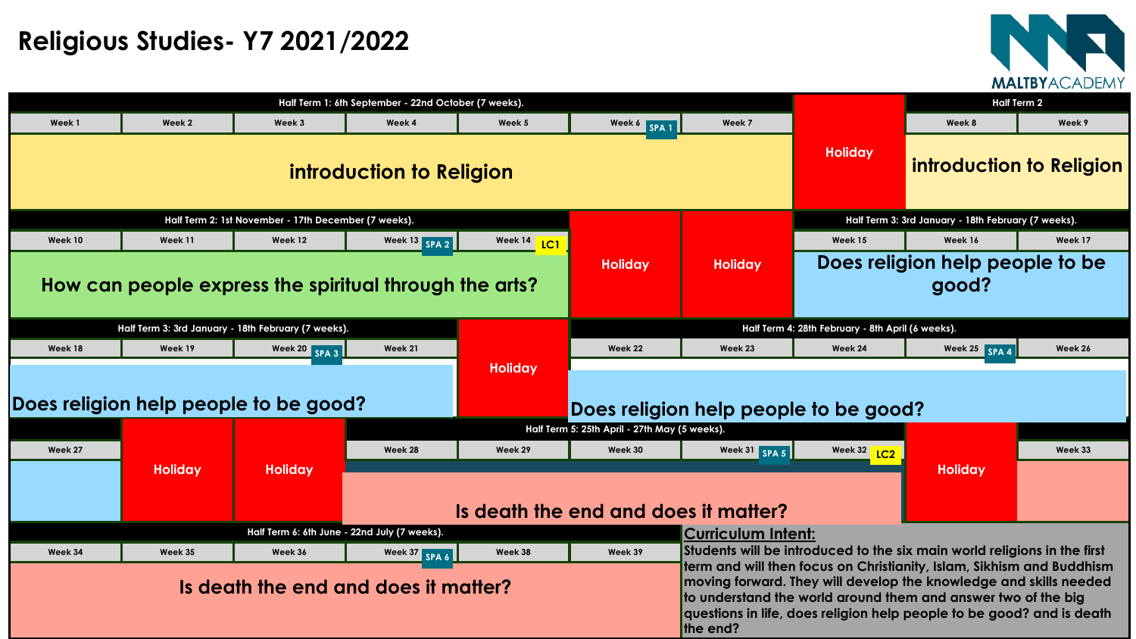

# **Religious Studies- Y7 2021/2022**

|         |                                                     |                                                      |                                                        | <b>Half Term 2</b> |                                               |                                                                                                                                                   |                                                   |                                                                                                                                     |         |  |
|---------|-----------------------------------------------------|------------------------------------------------------|--------------------------------------------------------|--------------------|-----------------------------------------------|---------------------------------------------------------------------------------------------------------------------------------------------------|---------------------------------------------------|-------------------------------------------------------------------------------------------------------------------------------------|---------|--|
| Week 1  | Week 2                                              | Week 3                                               | Week 4                                                 | Week 5             | Week 6 SPA 1                                  | Week 7                                                                                                                                            |                                                   | Week 8                                                                                                                              | Week 9  |  |
|         |                                                     |                                                      | introduction to Religion                               |                    |                                               | <b>Holiday</b>                                                                                                                                    | <b>introduction to Relic</b>                      |                                                                                                                                     |         |  |
|         |                                                     | Half Term 2: 1st November - 17th December (7 weeks). |                                                        |                    |                                               |                                                                                                                                                   |                                                   | Half Term 3: 3rd January - 18th February (7 weeks).                                                                                 |         |  |
| Week 10 | Week 11                                             | Week 12                                              | Week 13 SPA 2                                          | Week 14<br>LC1     |                                               |                                                                                                                                                   | Week 15                                           | Week 16                                                                                                                             | Week 17 |  |
|         |                                                     |                                                      |                                                        |                    | <b>Holiday</b>                                | <b>Holiday</b>                                                                                                                                    |                                                   | Does religion help people to b                                                                                                      |         |  |
|         |                                                     |                                                      | How can people express the spiritual through the arts? |                    |                                               |                                                                                                                                                   |                                                   | good?                                                                                                                               |         |  |
|         | Half Term 3: 3rd January - 18th February (7 weeks). |                                                      |                                                        |                    |                                               |                                                                                                                                                   | Half Term 4: 28th February - 8th April (6 weeks). |                                                                                                                                     |         |  |
| Week 18 | Week 19                                             | Week 20 SPA 3                                        | Week 21                                                |                    | Week 22                                       | Week 23                                                                                                                                           | Week 24                                           | Week 25 SPA 4                                                                                                                       | Week 26 |  |
|         | Does religion help people to be good?               |                                                      |                                                        | <b>Holiday</b>     | Does religion help people to be good?         |                                                                                                                                                   |                                                   |                                                                                                                                     |         |  |
|         |                                                     |                                                      |                                                        |                    | Half Term 5: 25th April - 27th May (5 weeks). |                                                                                                                                                   |                                                   |                                                                                                                                     |         |  |
| Week 27 |                                                     |                                                      | Week 28                                                | Week 29            | Week 30                                       | Week 31 SPA 5                                                                                                                                     | Week 32 1C2                                       |                                                                                                                                     | Week 33 |  |
|         | <b>Holiday</b>                                      | <b>Holiday</b>                                       |                                                        |                    | Is death the end and does it matter?          |                                                                                                                                                   | <b>Holiday</b>                                    |                                                                                                                                     |         |  |
|         |                                                     |                                                      | Half Term 6: 6th June - 22nd July (7 weeks).           |                    |                                               | <b>Curriculum Intent:</b>                                                                                                                         |                                                   |                                                                                                                                     |         |  |
| Week 34 | Week 35                                             | Week 36                                              | Week 37 SPA 6                                          | Week 38            | Week 39                                       |                                                                                                                                                   |                                                   | Students will be introduced to the six main world religions in the fi                                                               |         |  |
|         |                                                     |                                                      | Is death the end and does it matter?                   |                    |                                               | moving forward. They will develop the knowledge and skills need<br>questions in life, does religion help people to be good? and is de<br>the end? |                                                   | term and will then focus on Christianity, Islam, Sikhism and Buddh<br>to understand the world around them and answer two of the big |         |  |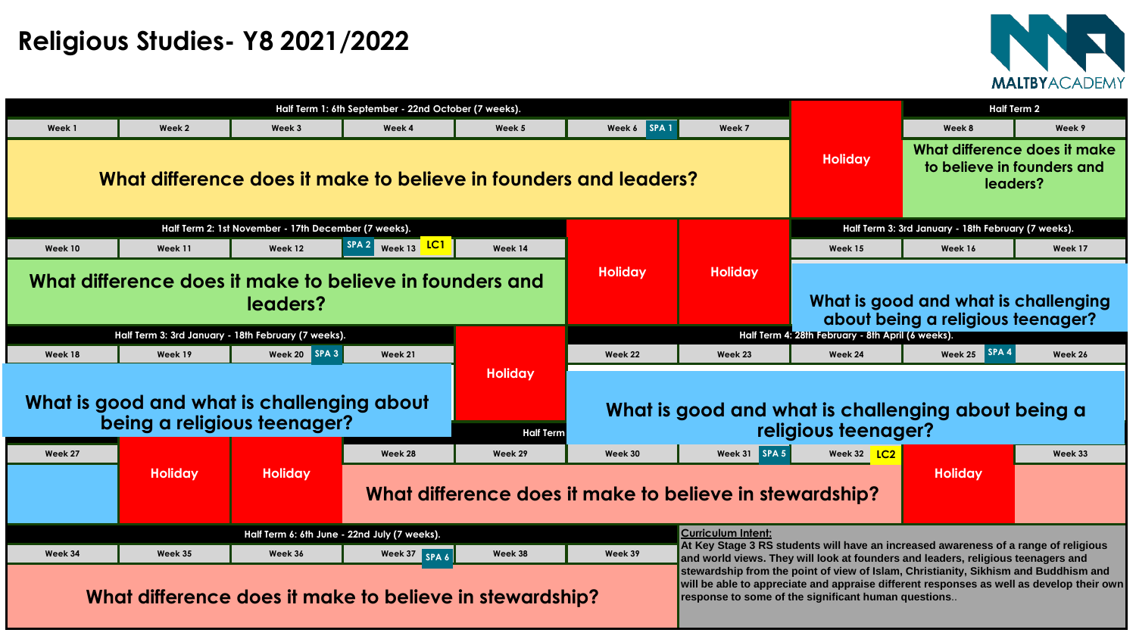

|                                                                           |                |                                                      | <b>Half Term 2</b>                           |                                                         |                |                                                                                                                                                                         |                                                                                                                                                                                                                                       |                                                                           |         |  |
|---------------------------------------------------------------------------|----------------|------------------------------------------------------|----------------------------------------------|---------------------------------------------------------|----------------|-------------------------------------------------------------------------------------------------------------------------------------------------------------------------|---------------------------------------------------------------------------------------------------------------------------------------------------------------------------------------------------------------------------------------|---------------------------------------------------------------------------|---------|--|
| Week 1                                                                    | Week 2         | Week 3                                               | Week 4                                       | Week 5                                                  | Week 6 SPA 1   | Week 7                                                                                                                                                                  |                                                                                                                                                                                                                                       | Week 8                                                                    | Week 9  |  |
| What difference does it make to believe in founders and leaders?          |                |                                                      |                                              |                                                         |                |                                                                                                                                                                         | <b>Holiday</b>                                                                                                                                                                                                                        | What difference does it make<br>to believe in founders and<br>leaders?    |         |  |
|                                                                           |                | Half Term 2: 1st November - 17th December (7 weeks). |                                              |                                                         |                |                                                                                                                                                                         | Half Term 3: 3rd January - 18th February (7 weeks).                                                                                                                                                                                   |                                                                           |         |  |
| Week 10                                                                   | Week 11        | Week 12                                              | LC1<br>SPA <sub>2</sub><br>Week 13           | Week 14                                                 |                |                                                                                                                                                                         | Week 15                                                                                                                                                                                                                               | Week 16                                                                   | Week 17 |  |
| What difference does it make to believe in founders and<br>leaders?       |                |                                                      |                                              |                                                         | <b>Holiday</b> | <b>Holiday</b>                                                                                                                                                          |                                                                                                                                                                                                                                       | What is good and what is challenging<br>about being a religious teenager? |         |  |
|                                                                           |                | Half Term 3: 3rd January - 18th February (7 weeks).  |                                              |                                                         |                |                                                                                                                                                                         | Half Term 4: 28th February - 8th April (6 weeks).                                                                                                                                                                                     |                                                                           |         |  |
| Week 18                                                                   | Week 19        | $\vert$ SPA 3 $\vert$<br>Week 20                     | Week 21                                      |                                                         | Week 22        | Week 23                                                                                                                                                                 | Week 24                                                                                                                                                                                                                               | ■ SPA<br>Week 25                                                          | Week 26 |  |
| What is good and what is challenging about<br>being a religious teenager? |                |                                                      |                                              | <b>Holiday</b><br><b>Half Term</b>                      |                |                                                                                                                                                                         | What is good and what is challenging about being a<br>religious teenager?                                                                                                                                                             |                                                                           |         |  |
| Week 27                                                                   |                |                                                      | Week 28                                      | Week 29                                                 | Week 30        | Week 31 SPA 5                                                                                                                                                           | Week 32 <b>LC2</b>                                                                                                                                                                                                                    |                                                                           | Week 33 |  |
|                                                                           | <b>Holiday</b> | <b>Holiday</b>                                       |                                              | What difference does it make to believe in stewardship? |                |                                                                                                                                                                         | <b>Holiday</b>                                                                                                                                                                                                                        |                                                                           |         |  |
|                                                                           |                |                                                      | Half Term 6: 6th June - 22nd July (7 weeks). |                                                         |                | <b>Curriculum Intent:</b>                                                                                                                                               |                                                                                                                                                                                                                                       |                                                                           |         |  |
| Week 34                                                                   | Week 35        | Week 36                                              | Week 37 SPA 6                                | Week 38                                                 | Week 39        | At Key Stage 3 RS students will have an increased awareness of a range of religious<br>and world views. They will look at founders and leaders, religious teenagers and |                                                                                                                                                                                                                                       |                                                                           |         |  |
| What difference does it make to believe in stewardship?                   |                |                                                      |                                              |                                                         |                |                                                                                                                                                                         | stewardship from the point of view of Islam, Christianity, Sikhism and Buddhism and<br>will be able to appreciate and appraise different responses as well as develop their ow<br>response to some of the significant human questions |                                                                           |         |  |

# **Religious Studies- Y8 2021/2022**